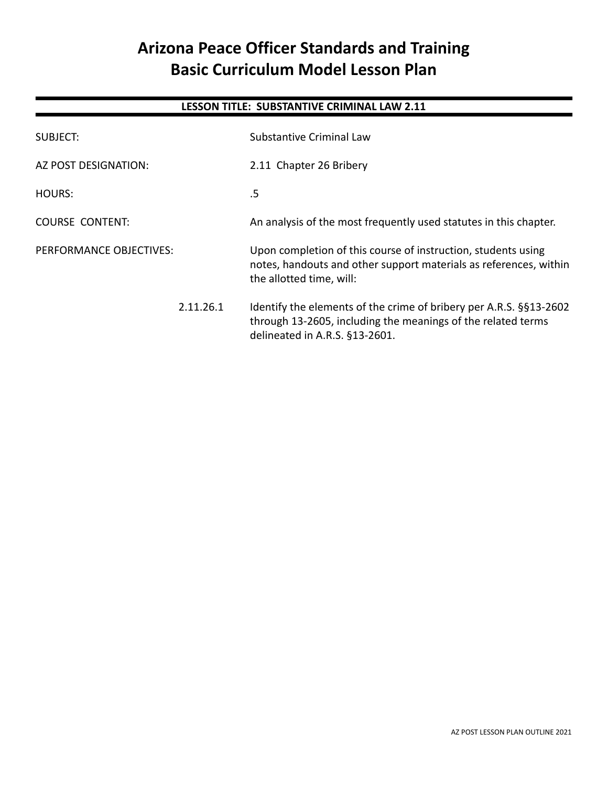# **Arizona Peace Officer Standards and Training Basic Curriculum Model Lesson Plan**

## **LESSON TITLE: SUBSTANTIVE CRIMINAL LAW 2.11**

| SUBJECT:                |           | Substantive Criminal Law                                                                                                                                             |
|-------------------------|-----------|----------------------------------------------------------------------------------------------------------------------------------------------------------------------|
| AZ POST DESIGNATION:    |           | 2.11 Chapter 26 Bribery                                                                                                                                              |
| <b>HOURS:</b>           |           | .5                                                                                                                                                                   |
| <b>COURSE CONTENT:</b>  |           | An analysis of the most frequently used statutes in this chapter.                                                                                                    |
| PERFORMANCE OBJECTIVES: |           | Upon completion of this course of instruction, students using<br>notes, handouts and other support materials as references, within<br>the allotted time, will:       |
|                         | 2.11.26.1 | Identify the elements of the crime of bribery per A.R.S. §§13-2602<br>through 13-2605, including the meanings of the related terms<br>delineated in A.R.S. §13-2601. |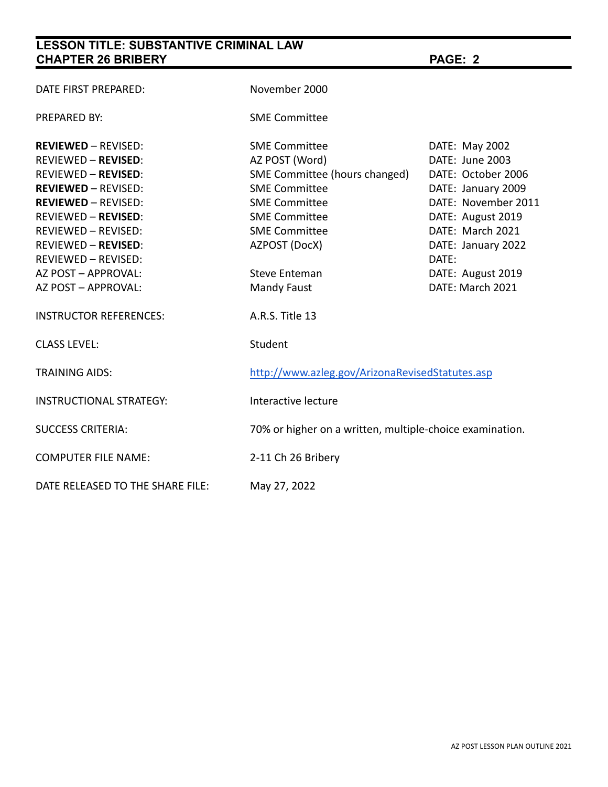# **LESSON TITLE: SUBSTANTIVE CRIMINAL LAW CHAPTER 26 BRIBERY PAGE: 2**

| DATE FIRST PREPARED:                                     | November 2000                                            |                                           |
|----------------------------------------------------------|----------------------------------------------------------|-------------------------------------------|
| <b>PREPARED BY:</b>                                      | <b>SME Committee</b>                                     |                                           |
| <b>REVIEWED - REVISED:</b>                               | <b>SME Committee</b>                                     | DATE: May 2002                            |
| <b>REVIEWED - REVISED:</b>                               | AZ POST (Word)                                           | DATE: June 2003                           |
| <b>REVIEWED - REVISED:</b>                               | SME Committee (hours changed)                            | DATE: October 2006                        |
| <b>REVIEWED - REVISED:</b><br><b>REVIEWED - REVISED:</b> | <b>SME Committee</b><br><b>SME Committee</b>             | DATE: January 2009<br>DATE: November 2011 |
| <b>REVIEWED - REVISED:</b>                               | <b>SME Committee</b>                                     | DATE: August 2019                         |
| REVIEWED - REVISED:                                      | <b>SME Committee</b>                                     | DATE: March 2021                          |
| <b>REVIEWED - REVISED:</b>                               | AZPOST (DocX)                                            | DATE: January 2022                        |
| REVIEWED - REVISED:                                      |                                                          | DATE:                                     |
| AZ POST - APPROVAL:                                      | <b>Steve Enteman</b>                                     | DATE: August 2019                         |
| AZ POST - APPROVAL:                                      | Mandy Faust                                              | DATE: March 2021                          |
| <b>INSTRUCTOR REFERENCES:</b>                            | A.R.S. Title 13                                          |                                           |
| <b>CLASS LEVEL:</b>                                      | Student                                                  |                                           |
| <b>TRAINING AIDS:</b>                                    | http://www.azleg.gov/ArizonaRevisedStatutes.asp          |                                           |
| <b>INSTRUCTIONAL STRATEGY:</b>                           | Interactive lecture                                      |                                           |
| <b>SUCCESS CRITERIA:</b>                                 | 70% or higher on a written, multiple-choice examination. |                                           |
| <b>COMPUTER FILE NAME:</b>                               | 2-11 Ch 26 Bribery                                       |                                           |
| DATE RELEASED TO THE SHARE FILE:                         | May 27, 2022                                             |                                           |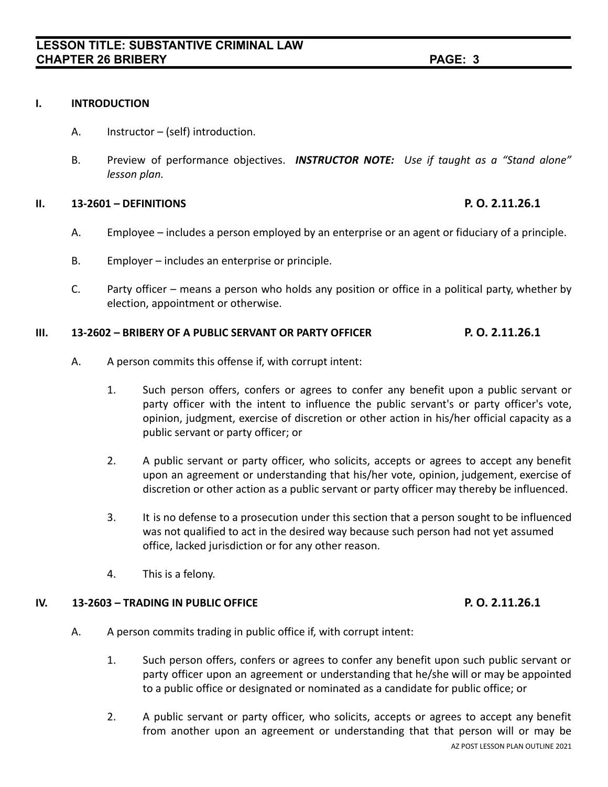### **I. INTRODUCTION**

- A. Instructor (self) introduction.
- B. Preview of performance objectives. *INSTRUCTOR NOTE: Use if taught as a "Stand alone" lesson plan.*

### **II. 13-2601 – DEFINITIONS P. O. 2.11.26.1**

- A. Employee includes a person employed by an enterprise or an agent or fiduciary of a principle.
- B. Employer includes an enterprise or principle.
- C. Party officer means a person who holds any position or office in a political party, whether by election, appointment or otherwise.

### **III. 13-2602 – BRIBERY OF A PUBLIC SERVANT OR PARTY OFFICER P. O. 2.11.26.1**

- A. A person commits this offense if, with corrupt intent:
	- 1. Such person offers, confers or agrees to confer any benefit upon a public servant or party officer with the intent to influence the public servant's or party officer's vote, opinion, judgment, exercise of discretion or other action in his/her official capacity as a public servant or party officer; or
	- 2. A public servant or party officer, who solicits, accepts or agrees to accept any benefit upon an agreement or understanding that his/her vote, opinion, judgement, exercise of discretion or other action as a public servant or party officer may thereby be influenced.
	- 3. It is no defense to a prosecution under this section that a person sought to be influenced was not qualified to act in the desired way because such person had not yet assumed office, lacked jurisdiction or for any other reason.
	- 4. This is a felony.

### **IV. 13-2603 – TRADING IN PUBLIC OFFICE P. O. 2.11.26.1**

- A. A person commits trading in public office if, with corrupt intent:
	- 1. Such person offers, confers or agrees to confer any benefit upon such public servant or party officer upon an agreement or understanding that he/she will or may be appointed to a public office or designated or nominated as a candidate for public office; or
	- 2. A public servant or party officer, who solicits, accepts or agrees to accept any benefit from another upon an agreement or understanding that that person will or may be AZ POST LESSON PLAN OUTLINE 2021